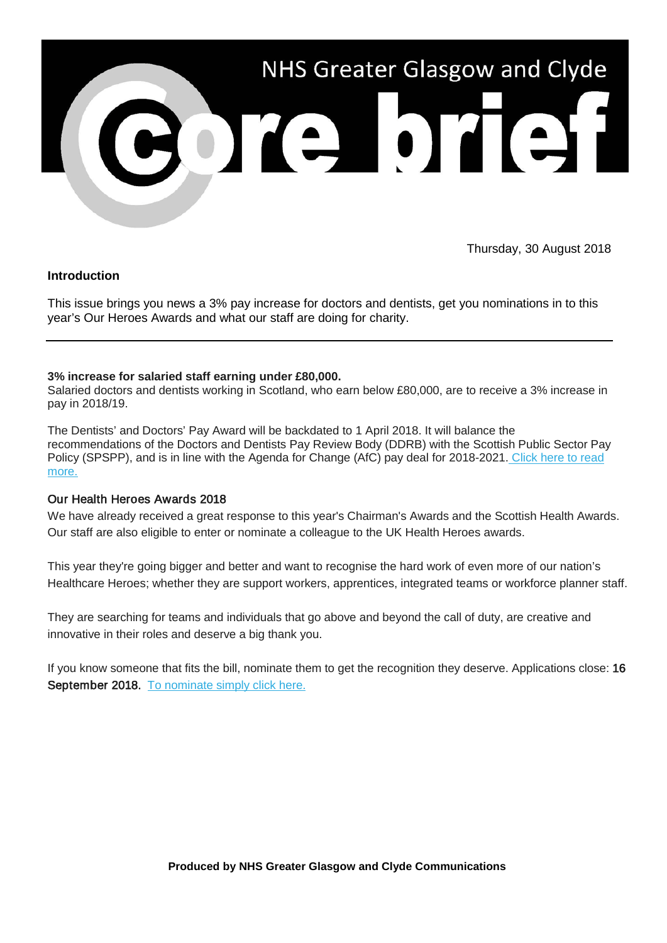

Thursday, 30 August 2018

### **Introduction**

This issue brings you news a 3% pay increase for doctors and dentists, get you nominations in to this year's Our Heroes Awards and what our staff are doing for charity.

### **3% increase for salaried staff earning under £80,000.**

Salaried doctors and dentists working in Scotland, who earn below £80,000, are to receive a 3% increase in pay in 2018/19.

The Dentists' and Doctors' Pay Award will be backdated to 1 April 2018. It will balance the recommendations of the Doctors and Dentists Pay Review Body (DDRB) with the Scottish Public Sector Pay Policy (SPSPP), and is in line with the Agenda for Change (AfC) pay deal for 2018-2021. [Click here to read](https://nhsggc.us12.list-manage.com/track/click?u=0f385b5aea37eaf0213bd19fb&id=8dfdde0252&e=5af5e1832c)  [more.](https://nhsggc.us12.list-manage.com/track/click?u=0f385b5aea37eaf0213bd19fb&id=8dfdde0252&e=5af5e1832c)

### Our Health Heroes Awards 2018

We have already received a great response to this year's Chairman's Awards and the Scottish Health Awards. Our staff are also eligible to enter or nominate a colleague to the UK Health Heroes awards.

This year they're going bigger and better and want to recognise the hard work of even more of our nation's Healthcare Heroes; whether they are support workers, apprentices, integrated teams or workforce planner staff.

They are searching for teams and individuals that go above and beyond the call of duty, are creative and innovative in their roles and deserve a big thank you.

If you know someone that fits the bill, nominate them to get the recognition they deserve. Applications close: 16 September 2018. To nominate simply click here.